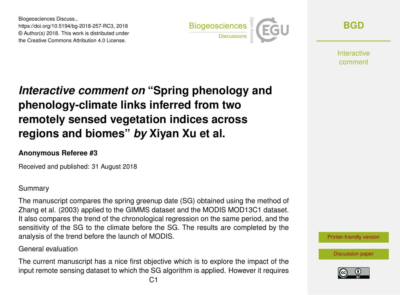Biogeosciences Discuss., https://doi.org/10.5194/bg-2018-257-RC3, 2018 © Author(s) 2018. This work is distributed under the Creative Commons Attribution 4.0 License.



**[BGD](https://www.biogeosciences-discuss.net/)**

**Interactive** comment

# *Interactive comment on* **"Spring phenology and phenology-climate links inferred from two remotely sensed vegetation indices across regions and biomes"** *by* **Xiyan Xu et al.**

## **Anonymous Referee #3**

Received and published: 31 August 2018

### Summary

The manuscript compares the spring greenup date (SG) obtained using the method of Zhang et al. (2003) applied to the GIMMS dataset and the MODIS MOD13C1 dataset. It also compares the trend of the chronological regression on the same period, and the sensitivity of the SG to the climate before the SG. The results are completed by the analysis of the trend before the launch of MODIS.

## General evaluation

The current manuscript has a nice first objective which is to explore the impact of the input remote sensing dataset to which the SG algorithm is applied. However it requires [Printer-friendly version](https://www.biogeosciences-discuss.net/bg-2018-257/bg-2018-257-RC3-print.pdf)

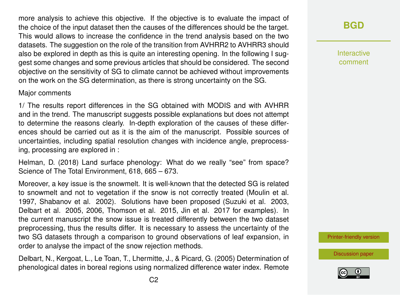more analysis to achieve this objective. If the objective is to evaluate the impact of the choice of the input dataset then the causes of the differences should be the target. This would allows to increase the confidence in the trend analysis based on the two datasets. The suggestion on the role of the transition from AVHRR2 to AVHRR3 should also be explored in depth as this is quite an interesting opening. In the following I suggest some changes and some previous articles that should be considered. The second objective on the sensitivity of SG to climate cannot be achieved without improvements on the work on the SG determination, as there is strong uncertainty on the SG.

#### Major comments

1/ The results report differences in the SG obtained with MODIS and with AVHRR and in the trend. The manuscript suggests possible explanations but does not attempt to determine the reasons clearly. In-depth exploration of the causes of these differences should be carried out as it is the aim of the manuscript. Possible sources of uncertainties, including spatial resolution changes with incidence angle, preprocessing, processing are explored in :

Helman, D. (2018) Land surface phenology: What do we really "see" from space? Science of The Total Environment, 618, 665 – 673.

Moreover, a key issue is the snowmelt. It is well-known that the detected SG is related to snowmelt and not to vegetation if the snow is not correctly treated (Moulin et al. 1997, Shabanov et al. 2002). Solutions have been proposed (Suzuki et al. 2003, Delbart et al. 2005, 2006, Thomson et al. 2015, Jin et al. 2017 for examples). In the current manuscript the snow issue is treated differently between the two dataset preprocessing, thus the results differ. It is necessary to assess the uncertainty of the two SG datasets through a comparison to ground observations of leaf expansion, in order to analyse the impact of the snow rejection methods.

Delbart, N., Kergoat, L., Le Toan, T., Lhermitte, J., & Picard, G. (2005) Determination of phenological dates in boreal regions using normalized difference water index. Remote

**[BGD](https://www.biogeosciences-discuss.net/)**

Interactive comment

[Printer-friendly version](https://www.biogeosciences-discuss.net/bg-2018-257/bg-2018-257-RC3-print.pdf)

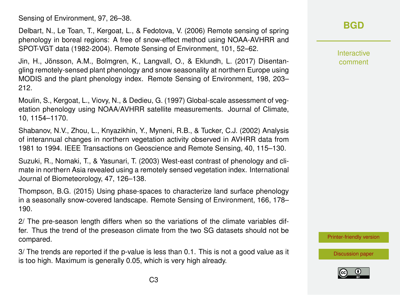Sensing of Environment, 97, 26–38.

Delbart, N., Le Toan, T., Kergoat, L., & Fedotova, V. (2006) Remote sensing of spring phenology in boreal regions: A free of snow-effect method using NOAA-AVHRR and SPOT-VGT data (1982-2004). Remote Sensing of Environment, 101, 52–62.

Jin, H., Jönsson, A.M., Bolmgren, K., Langvall, O., & Eklundh, L. (2017) Disentangling remotely-sensed plant phenology and snow seasonality at northern Europe using MODIS and the plant phenology index. Remote Sensing of Environment, 198, 203– 212.

Moulin, S., Kergoat, L., Viovy, N., & Dedieu, G. (1997) Global-scale assessment of vegetation phenology using NOAA/AVHRR satellite measurements. Journal of Climate, 10, 1154–1170.

Shabanov, N.V., Zhou, L., Knyazikhin, Y., Myneni, R.B., & Tucker, C.J. (2002) Analysis of interannual changes in northern vegetation activity observed in AVHRR data from 1981 to 1994. IEEE Transactions on Geoscience and Remote Sensing, 40, 115–130.

Suzuki, R., Nomaki, T., & Yasunari, T. (2003) West-east contrast of phenology and climate in northern Asia revealed using a remotely sensed vegetation index. International Journal of Biometeorology, 47, 126–138.

Thompson, B.G. (2015) Using phase-spaces to characterize land surface phenology in a seasonally snow-covered landscape. Remote Sensing of Environment, 166, 178– 190.

2/ The pre-season length differs when so the variations of the climate variables differ. Thus the trend of the preseason climate from the two SG datasets should not be compared.

3/ The trends are reported if the p-value is less than 0.1. This is not a good value as it is too high. Maximum is generally 0.05, which is very high already.

# **[BGD](https://www.biogeosciences-discuss.net/)**

Interactive comment

[Printer-friendly version](https://www.biogeosciences-discuss.net/bg-2018-257/bg-2018-257-RC3-print.pdf)